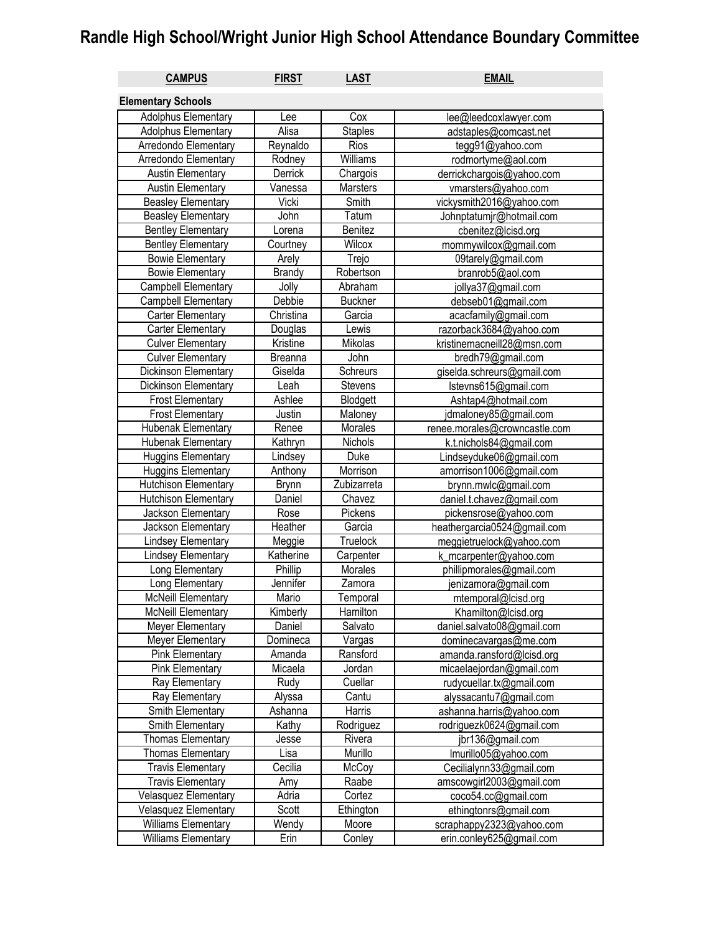## **Randle High School/Wright Junior High School Attendance Boundary Committee**

| <b>CAMPUS</b>               | <b>FIRST</b>   | <b>LAST</b>    | <b>EMAIL</b>                  |
|-----------------------------|----------------|----------------|-------------------------------|
| <b>Elementary Schools</b>   |                |                |                               |
| Adolphus Elementary         | Lee            | Cox            | lee@leedcoxlawyer.com         |
| Adolphus Elementary         | Alisa          | <b>Staples</b> | adstaples@comcast.net         |
| Arredondo Elementary        | Reynaldo       | Rios           | tegg91@yahoo.com              |
| Arredondo Elementary        | Rodney         | Williams       | rodmortyme@aol.com            |
| Austin Elementary           | Derrick        | Chargois       | derrickchargois@yahoo.com     |
| <b>Austin Elementary</b>    | Vanessa        | Marsters       | vmarsters@yahoo.com           |
| <b>Beasley Elementary</b>   | Vicki          | Smith          | vickysmith2016@yahoo.com      |
| <b>Beasley Elementary</b>   | John           | Tatum          | Johnptatumjr@hotmail.com      |
| <b>Bentley Elementary</b>   | Lorena         | Benitez        | cbenitez@lcisd.org            |
| <b>Bentley Elementary</b>   | Courtney       | Wilcox         | mommywilcox@gmail.com         |
| <b>Bowie Elementary</b>     | Arely          | Trejo          | 09tarely@gmail.com            |
| <b>Bowie Elementary</b>     | <b>Brandy</b>  | Robertson      | branrob5@aol.com              |
| Campbell Elementary         | Jolly          | Abraham        | jollya37@gmail.com            |
| Campbell Elementary         | Debbie         | <b>Buckner</b> | debseb01@gmail.com            |
| Carter Elementary           | Christina      | Garcia         | acacfamily@gmail.com          |
| Carter Elementary           | Douglas        | Lewis          | razorback3684@yahoo.com       |
| <b>Culver Elementary</b>    | Kristine       | Mikolas        | kristinemacneill28@msn.com    |
| <b>Culver Elementary</b>    | <b>Breanna</b> | John           | bredh79@gmail.com             |
| Dickinson Elementary        | Giselda        | Schreurs       | giselda.schreurs@gmail.com    |
| Dickinson Elementary        | Leah           | Stevens        | Istevns615@gmail.com          |
| <b>Frost Elementary</b>     | Ashlee         | Blodgett       | Ashtap4@hotmail.com           |
| <b>Frost Elementary</b>     | Justin         | Maloney        | jdmaloney85@gmail.com         |
| Hubenak Elementary          | Renee          | Morales        | renee.morales@crowncastle.com |
| Hubenak Elementary          | Kathryn        | Nichols        | k.t.nichols84@gmail.com       |
| <b>Huggins Elementary</b>   | Lindsey        | Duke           | Lindseyduke06@gmail.com       |
| <b>Huggins Elementary</b>   | Anthony        | Morrison       | amorrison1006@gmail.com       |
| Hutchison Elementary        | Brynn          | Zubizarreta    | brynn.mwlc@gmail.com          |
| Hutchison Elementary        | Daniel         | Chavez         | daniel.t.chavez@gmail.com     |
| Jackson Elementary          | Rose           | Pickens        | pickensrose@yahoo.com         |
| Jackson Elementary          | Heather        | Garcia         | heathergarcia0524@gmail.com   |
| <b>Lindsey Elementary</b>   | Meggie         | Truelock       | meggietruelock@yahoo.com      |
| <b>Lindsey Elementary</b>   | Katherine      | Carpenter      | k_mcarpenter@yahoo.com        |
| Long Elementary             | Phillip        | Morales        | phillipmorales@gmail.com      |
| Long Elementary             | Jennifer       | Zamora         | jenizamora@gmail.com          |
| <b>McNeill Elementary</b>   | Mario          | Temporal       | mtemporal@lcisd.org           |
| <b>McNeill Elementary</b>   | Kimberly       | Hamilton       | Khamilton@lcisd.org           |
| Meyer Elementary            | Daniel         | Salvato        | daniel.salvato08@gmail.com    |
| Meyer Elementary            | Domineca       | Vargas         | dominecavargas@me.com         |
| <b>Pink Elementary</b>      | Amanda         | Ransford       | amanda.ransford@lcisd.org     |
| <b>Pink Elementary</b>      | Micaela        | Jordan         | micaelaejordan@gmail.com      |
| Ray Elementary              | Rudy           | Cuellar        | rudycuellar.tx@gmail.com      |
| Ray Elementary              | Alyssa         | Cantu          | alyssacantu7@gmail.com        |
| Smith Elementary            | Ashanna        | Harris         | ashanna.harris@yahoo.com      |
| Smith Elementary            | Kathy          | Rodriguez      | rodriguezk0624@gmail.com      |
| <b>Thomas Elementary</b>    | Jesse          | Rivera         | jbr136@gmail.com              |
| <b>Thomas Elementary</b>    | Lisa           | Murillo        | Imurillo05@yahoo.com          |
| <b>Travis Elementary</b>    | Cecilia        | McCoy          | Cecilialynn33@gmail.com       |
| <b>Travis Elementary</b>    | Amy            | Raabe          | amscowgirl2003@gmail.com      |
| <b>Velasquez Elementary</b> | Adria          | Cortez         | coco54.cc@gmail.com           |
| Velasquez Elementary        | Scott          | Ethington      | ethingtonrs@gmail.com         |
| <b>Williams Elementary</b>  | Wendy          | Moore          | scraphappy2323@yahoo.com      |
| Williams Elementary         | Erin           | Conley         | erin.conley625@gmail.com      |